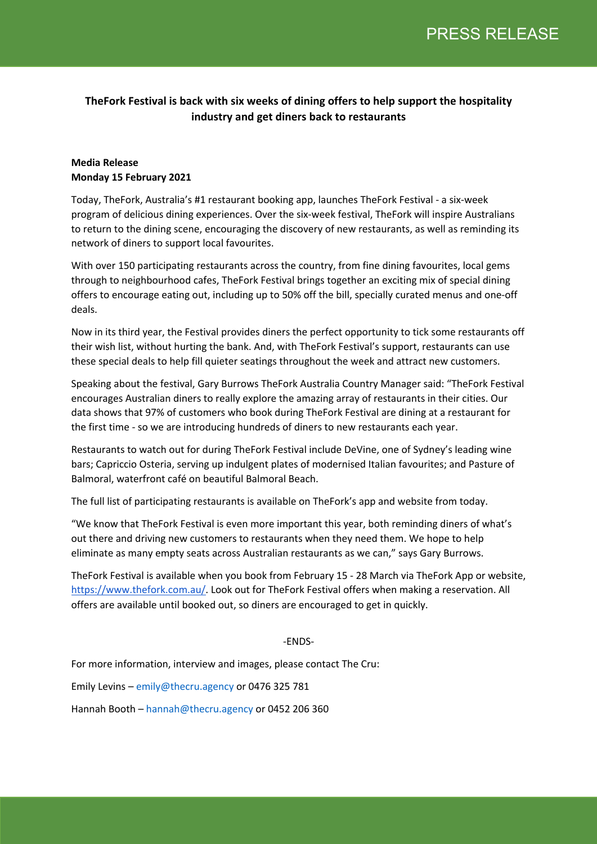# **TheFork Festival is back with six weeks of dining offers to help support the hospitality industry and get diners back to restaurants**

## **Media Release Monday 15 February 2021**

Today, TheFork, Australia's #1 restaurant booking app, launches TheFork Festival - a six-week program of delicious dining experiences. Over the six-week festival, TheFork will inspire Australians to return to the dining scene, encouraging the discovery of new restaurants, as well as reminding its network of diners to support local favourites.

With over 150 participating restaurants across the country, from fine dining favourites, local gems through to neighbourhood cafes, TheFork Festival brings together an exciting mix of special dining offers to encourage eating out, including up to 50% off the bill, specially curated menus and one-off deals.

Now in its third year, the Festival provides diners the perfect opportunity to tick some restaurants off their wish list, without hurting the bank. And, with TheFork Festival's support, restaurants can use these special deals to help fill quieter seatings throughout the week and attract new customers.

Speaking about the festival, Gary Burrows TheFork Australia Country Manager said: "TheFork Festival encourages Australian diners to really explore the amazing array of restaurants in their cities. Our data shows that 97% of customers who book during TheFork Festival are dining at a restaurant for the first time - so we are introducing hundreds of diners to new restaurants each year.

Restaurants to watch out for during TheFork Festival include DeVine, one of Sydney's leading wine bars; Capriccio Osteria, serving up indulgent plates of modernised Italian favourites; and Pasture of Balmoral, waterfront café on beautiful Balmoral Beach.

The full list of participating restaurants is available on TheFork's app and website from today.

"We know that TheFork Festival is even more important this year, both reminding diners of what's out there and driving new customers to restaurants when they need them. We hope to help eliminate as many empty seats across Australian restaurants as we can," says Gary Burrows.

TheFork Festival is available when you book from February 15 - 28 March via TheFork App or website, https://www.thefork.com.au/. Look out for TheFork Festival offers when making a reservation. All offers are available until booked out, so diners are encouraged to get in quickly.

## -ENDS-

For more information, interview and images, please contact The Cru:

Emily Levins – emily@thecru.agency or 0476 325 781

Hannah Booth – hannah@thecru.agency or 0452 206 360